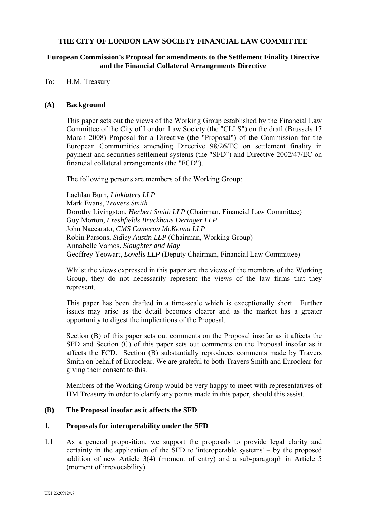#### **THE CITY OF LONDON LAW SOCIETY FINANCIAL LAW COMMITTEE**

#### **European Commission's Proposal for amendments to the Settlement Finality Directive and the Financial Collateral Arrangements Directive**

To: H.M. Treasury

#### **(A) Background**

This paper sets out the views of the Working Group established by the Financial Law Committee of the City of London Law Society (the "CLLS") on the draft (Brussels 17 March 2008) Proposal for a Directive (the "Proposal") of the Commission for the European Communities amending Directive 98/26/EC on settlement finality in payment and securities settlement systems (the "SFD") and Directive 2002/47/EC on financial collateral arrangements (the "FCD").

The following persons are members of the Working Group:

Lachlan Burn, *Linklaters LLP* Mark Evans, *Travers Smith* Dorothy Livingston, *Herbert Smith LLP* (Chairman, Financial Law Committee) Guy Morton, *Freshfields Bruckhaus Deringer LLP* John Naccarato, *CMS Cameron McKenna LLP* Robin Parsons, *Sidley Austin LLP* (Chairman, Working Group) Annabelle Vamos, *Slaughter and May* Geoffrey Yeowart, *Lovells LLP* (Deputy Chairman, Financial Law Committee)

Whilst the views expressed in this paper are the views of the members of the Working Group, they do not necessarily represent the views of the law firms that they represent.

This paper has been drafted in a time-scale which is exceptionally short. Further issues may arise as the detail becomes clearer and as the market has a greater opportunity to digest the implications of the Proposal.

Section (B) of this paper sets out comments on the Proposal insofar as it affects the SFD and Section (C) of this paper sets out comments on the Proposal insofar as it affects the FCD. Section (B) substantially reproduces comments made by Travers Smith on behalf of Euroclear. We are grateful to both Travers Smith and Euroclear for giving their consent to this.

Members of the Working Group would be very happy to meet with representatives of HM Treasury in order to clarify any points made in this paper, should this assist.

#### **(B) The Proposal insofar as it affects the SFD**

#### **1. Proposals for interoperability under the SFD**

1.1 As a general proposition, we support the proposals to provide legal clarity and certainty in the application of the SFD to 'interoperable systems' – by the proposed addition of new Article 3(4) (moment of entry) and a sub-paragraph in Article 5 (moment of irrevocability).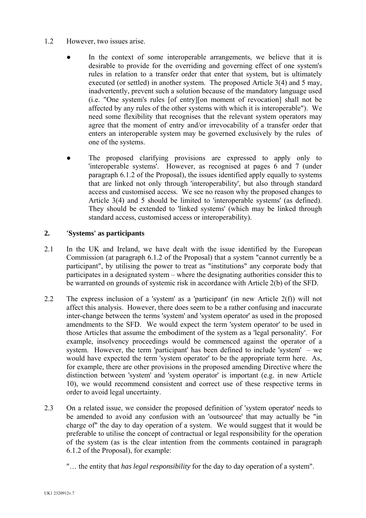## 1.2 However, two issues arise.

- In the context of some interoperable arrangements, we believe that it is desirable to provide for the overriding and governing effect of one system's rules in relation to a transfer order that enter that system, but is ultimately executed (or settled) in another system. The proposed Article 3(4) and 5 may, inadvertently, prevent such a solution because of the mandatory language used (i.e. "One system's rules [of entry][on moment of revocation] shall not be affected by any rules of the other systems with which it is interoperable"). We need some flexibility that recognises that the relevant system operators may agree that the moment of entry and/or irrevocability of a transfer order that enters an interoperable system may be governed exclusively by the rules of one of the systems.
- The proposed clarifying provisions are expressed to apply only to 'interoperable systems'. However, as recognised at pages 6 and 7 (under paragraph 6.1.2 of the Proposal), the issues identified apply equally to systems that are linked not only through 'interoperability', but also through standard access and customised access. We see no reason why the proposed changes to Article 3(4) and 5 should be limited to 'interoperable systems' (as defined). They should be extended to 'linked systems' (which may be linked through standard access, customised access or interoperability).

### **2. 'Systems' as participants**

- 2.1 In the UK and Ireland, we have dealt with the issue identified by the European Commission (at paragraph 6.1.2 of the Proposal) that a system "cannot currently be a participant", by utilising the power to treat as "institutions" any corporate body that participates in a designated system – where the designating authorities consider this to be warranted on grounds of systemic risk in accordance with Article 2(b) of the SFD.
- 2.2 The express inclusion of a 'system' as a 'participant' (in new Article 2(f)) will not affect this analysis. However, there does seem to be a rather confusing and inaccurate inter-change between the terms 'system' and 'system operator' as used in the proposed amendments to the SFD. We would expect the term 'system operator' to be used in those Articles that assume the embodiment of the system as a 'legal personality'. For example, insolvency proceedings would be commenced against the operator of a system. However, the term 'participant' has been defined to include 'system' – we would have expected the term 'system operator' to be the appropriate term here. As, for example, there are other provisions in the proposed amending Directive where the distinction between 'system' and 'system operator' is important (e.g. in new Article 10), we would recommend consistent and correct use of these respective terms in order to avoid legal uncertainty.
- 2.3 On a related issue, we consider the proposed definition of 'system operator' needs to be amended to avoid any confusion with an 'outsourcee' that may actually be "in charge of" the day to day operation of a system. We would suggest that it would be preferable to utilise the concept of contractual or legal responsibility for the operation of the system (as is the clear intention from the comments contained in paragraph 6.1.2 of the Proposal), for example:
	- "… the entity that *has legal responsibility* for the day to day operation of a system".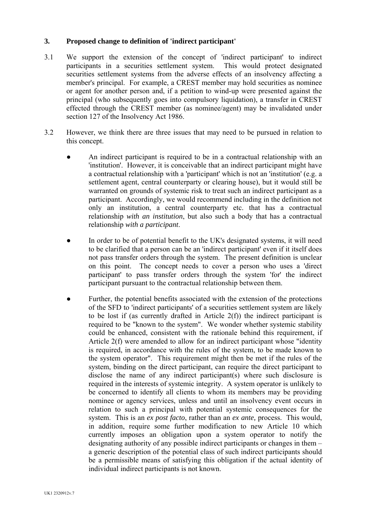### **3. Proposed change to definition of 'indirect participant'**

- 3.1 We support the extension of the concept of 'indirect participant' to indirect participants in a securities settlement system. This would protect designated securities settlement systems from the adverse effects of an insolvency affecting a member's principal. For example, a CREST member may hold securities as nominee or agent for another person and, if a petition to wind-up were presented against the principal (who subsequently goes into compulsory liquidation), a transfer in CREST effected through the CREST member (as nominee/agent) may be invalidated under section 127 of the Insolvency Act 1986.
- 3.2 However, we think there are three issues that may need to be pursued in relation to this concept.
	- An indirect participant is required to be in a contractual relationship with an 'institution'. However, it is conceivable that an indirect participant might have a contractual relationship with a 'participant' which is not an 'institution' (e.g. a settlement agent, central counterparty or clearing house), but it would still be warranted on grounds of systemic risk to treat such an indirect participant as a participant. Accordingly, we would recommend including in the definition not only an institution, a central counterparty etc. that has a contractual relationship *with an institution*, but also such a body that has a contractual relationship *with a participant*.
	- In order to be of potential benefit to the UK's designated systems, it will need to be clarified that a person can be an 'indirect participant' even if it itself does not pass transfer orders through the system. The present definition is unclear on this point. The concept needs to cover a person who uses a 'direct participant' to pass transfer orders through the system 'for' the indirect participant pursuant to the contractual relationship between them.
	- Further, the potential benefits associated with the extension of the protections of the SFD to 'indirect participants' of a securities settlement system are likely to be lost if (as currently drafted in Article 2(f)) the indirect participant is required to be "known to the system". We wonder whether systemic stability could be enhanced, consistent with the rationale behind this requirement, if Article 2(f) were amended to allow for an indirect participant whose "identity is required, in accordance with the rules of the system, to be made known to the system operator". This requirement might then be met if the rules of the system, binding on the direct participant, can require the direct participant to disclose the name of any indirect participant(s) where such disclosure is required in the interests of systemic integrity. A system operator is unlikely to be concerned to identify all clients to whom its members may be providing nominee or agency services, unless and until an insolvency event occurs in relation to such a principal with potential systemic consequences for the system. This is an *ex post facto*, rather than an *ex ante,* process. This would, in addition, require some further modification to new Article 10 which currently imposes an obligation upon a system operator to notify the designating authority of any possible indirect participants or changes in them – a generic description of the potential class of such indirect participants should be a permissible means of satisfying this obligation if the actual identity of individual indirect participants is not known.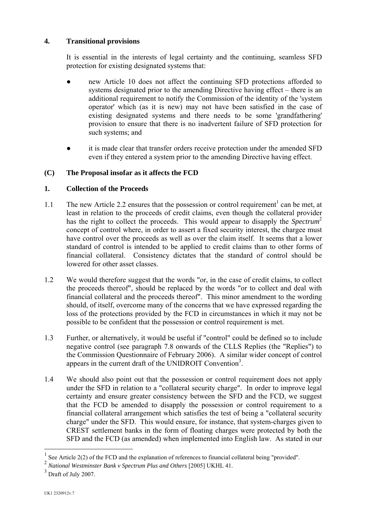# **4. Transitional provisions**

It is essential in the interests of legal certainty and the continuing, seamless SFD protection for existing designated systems that:

- new Article 10 does not affect the continuing SFD protections afforded to systems designated prior to the amending Directive having effect – there is an additional requirement to notify the Commission of the identity of the 'system operator' which (as it is new) may not have been satisfied in the case of existing designated systems and there needs to be some 'grandfathering' provision to ensure that there is no inadvertent failure of SFD protection for such systems; and
- it is made clear that transfer orders receive protection under the amended SFD even if they entered a system prior to the amending Directive having effect.

# **(C) The Proposal insofar as it affects the FCD**

## **1. Collection of the Proceeds**

- [1](#page-3-0).1 The new Article 2.2 ensures that the possession or control requirement<sup>1</sup> can be met, at least in relation to the proceeds of credit claims, even though the collateral provider has the right to collect the proceeds. This would appear to disapply the *Spectrum*<sup>[2](#page-3-1)</sup> concept of control where, in order to assert a fixed security interest, the chargee must have control over the proceeds as well as over the claim itself. It seems that a lower standard of control is intended to be applied to credit claims than to other forms of financial collateral. Consistency dictates that the standard of control should be lowered for other asset classes.
- 1.2 We would therefore suggest that the words "or, in the case of credit claims, to collect the proceeds thereof", should be replaced by the words "or to collect and deal with financial collateral and the proceeds thereof". This minor amendment to the wording should, of itself, overcome many of the concerns that we have expressed regarding the loss of the protections provided by the FCD in circumstances in which it may not be possible to be confident that the possession or control requirement is met.
- 1.3 Further, or alternatively, it would be useful if "control" could be defined so to include negative control (see paragraph 7.8 onwards of the CLLS Replies (the "Replies") to the Commission Questionnaire of February 2006). A similar wider concept of control appears in the current draft of the UNIDROIT Convention<sup>[3](#page-3-2)</sup>.
- 1.4 We should also point out that the possession or control requirement does not apply under the SFD in relation to a "collateral security charge". In order to improve legal certainty and ensure greater consistency between the SFD and the FCD, we suggest that the FCD be amended to disapply the possession or control requirement to a financial collateral arrangement which satisfies the test of being a "collateral security charge" under the SFD. This would ensure, for instance, that system-charges given to CREST settlement banks in the form of floating charges were protected by both the SFD and the FCD (as amended) when implemented into English law. As stated in our

 $\overline{a}$ 

<span id="page-3-0"></span><sup>1</sup> See Article 2(2) of the FCD and the explanation of references to financial collateral being "provided".

<span id="page-3-1"></span><sup>&</sup>lt;sup>2</sup> National Westminster Bank v Spectrum Plus and Others [2005] UKHL 41.

<span id="page-3-2"></span> $3$  Draft of July 2007.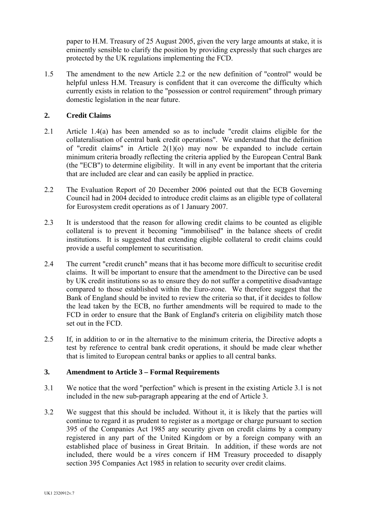paper to H.M. Treasury of 25 August 2005, given the very large amounts at stake, it is eminently sensible to clarify the position by providing expressly that such charges are protected by the UK regulations implementing the FCD.

1.5 The amendment to the new Article 2.2 or the new definition of "control" would be helpful unless H.M. Treasury is confident that it can overcome the difficulty which currently exists in relation to the "possession or control requirement" through primary domestic legislation in the near future.

## **2. Credit Claims**

- 2.1 Article 1.4(a) has been amended so as to include "credit claims eligible for the collateralisation of central bank credit operations". We understand that the definition of "credit claims" in Article 2(1)(o) may now be expanded to include certain minimum criteria broadly reflecting the criteria applied by the European Central Bank (the "ECB") to determine eligibility. It will in any event be important that the criteria that are included are clear and can easily be applied in practice.
- 2.2 The Evaluation Report of 20 December 2006 pointed out that the ECB Governing Council had in 2004 decided to introduce credit claims as an eligible type of collateral for Eurosystem credit operations as of 1 January 2007.
- 2.3 It is understood that the reason for allowing credit claims to be counted as eligible collateral is to prevent it becoming "immobilised" in the balance sheets of credit institutions. It is suggested that extending eligible collateral to credit claims could provide a useful complement to securitisation.
- 2.4 The current "credit crunch" means that it has become more difficult to securitise credit claims. It will be important to ensure that the amendment to the Directive can be used by UK credit institutions so as to ensure they do not suffer a competitive disadvantage compared to those established within the Euro-zone. We therefore suggest that the Bank of England should be invited to review the criteria so that, if it decides to follow the lead taken by the ECB, no further amendments will be required to made to the FCD in order to ensure that the Bank of England's criteria on eligibility match those set out in the FCD.
- 2.5 If, in addition to or in the alternative to the minimum criteria, the Directive adopts a test by reference to central bank credit operations, it should be made clear whether that is limited to European central banks or applies to all central banks.

#### **3. Amendment to Article 3 – Formal Requirements**

- 3.1 We notice that the word "perfection" which is present in the existing Article 3.1 is not included in the new sub-paragraph appearing at the end of Article 3.
- 3.2 We suggest that this should be included. Without it, it is likely that the parties will continue to regard it as prudent to register as a mortgage or charge pursuant to section 395 of the Companies Act 1985 any security given on credit claims by a company registered in any part of the United Kingdom or by a foreign company with an established place of business in Great Britain. In addition, if these words are not included, there would be a *vires* concern if HM Treasury proceeded to disapply section 395 Companies Act 1985 in relation to security over credit claims.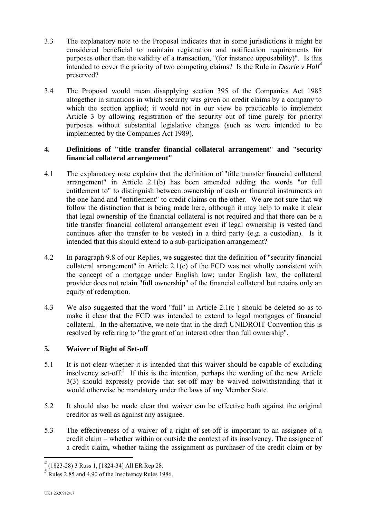- 3.3 The explanatory note to the Proposal indicates that in some jurisdictions it might be considered beneficial to maintain registration and notification requirements for purposes other than the validity of a transaction, "(for instance opposability)". Is this intended to cover the priority of two competing claims? Is the Rule in *Dearle v Hall[4](#page-5-0)* preserved?
- 3.4 The Proposal would mean disapplying section 395 of the Companies Act 1985 altogether in situations in which security was given on credit claims by a company to which the section applied; it would not in our view be practicable to implement Article 3 by allowing registration of the security out of time purely for priority purposes without substantial legislative changes (such as were intended to be implemented by the Companies Act 1989).

## **4. Definitions of "title transfer financial collateral arrangement" and "security financial collateral arrangement"**

- 4.1 The explanatory note explains that the definition of "title transfer financial collateral arrangement" in Article 2.1(b) has been amended adding the words "or full entitlement to" to distinguish between ownership of cash or financial instruments on the one hand and "entitlement" to credit claims on the other. We are not sure that we follow the distinction that is being made here, although it may help to make it clear that legal ownership of the financial collateral is not required and that there can be a title transfer financial collateral arrangement even if legal ownership is vested (and continues after the transfer to be vested) in a third party (e.g. a custodian). Is it intended that this should extend to a sub-participation arrangement?
- 4.2 In paragraph 9.8 of our Replies, we suggested that the definition of "security financial collateral arrangement" in Article 2.1(c) of the FCD was not wholly consistent with the concept of a mortgage under English law; under English law, the collateral provider does not retain "full ownership" of the financial collateral but retains only an equity of redemption.
- 4.3 We also suggested that the word "full" in Article 2.1(c ) should be deleted so as to make it clear that the FCD was intended to extend to legal mortgages of financial collateral. In the alternative, we note that in the draft UNIDROIT Convention this is resolved by referring to "the grant of an interest other than full ownership".

# **5. Waiver of Right of Set-off**

- 5.1 It is not clear whether it is intended that this waiver should be capable of excluding insolvency set-off. [5](#page-5-1) If this is the intention, perhaps the wording of the new Article 3(3) should expressly provide that set-off may be waived notwithstanding that it would otherwise be mandatory under the laws of any Member State.
- 5.2 It should also be made clear that waiver can be effective both against the original creditor as well as against any assignee.
- 5.3 The effectiveness of a waiver of a right of set-off is important to an assignee of a credit claim – whether within or outside the context of its insolvency. The assignee of a credit claim, whether taking the assignment as purchaser of the credit claim or by

<span id="page-5-0"></span> *4* (1823-28) 3 Russ 1, [1824-34] All ER Rep 28.

<span id="page-5-1"></span><sup>&</sup>lt;sup>5</sup> Rules 2.85 and 4.90 of the Insolvency Rules 1986.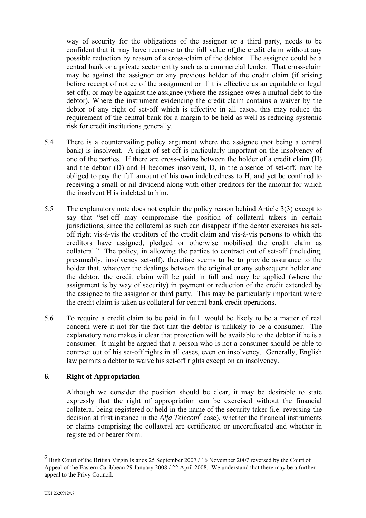way of security for the obligations of the assignor or a third party, needs to be confident that it may have recourse to the full value of the credit claim without any possible reduction by reason of a cross-claim of the debtor. The assignee could be a central bank or a private sector entity such as a commercial lender. That cross-claim may be against the assignor or any previous holder of the credit claim (if arising before receipt of notice of the assignment or if it is effective as an equitable or legal set-off); or may be against the assignee (where the assignee owes a mutual debt to the debtor). Where the instrument evidencing the credit claim contains a waiver by the debtor of any right of set-off which is effective in all cases, this may reduce the requirement of the central bank for a margin to be held as well as reducing systemic risk for credit institutions generally.

- 5.4 There is a countervailing policy argument where the assignee (not being a central bank) is insolvent. A right of set-off is particularly important on the insolvency of one of the parties. If there are cross-claims between the holder of a credit claim (H) and the debtor (D) and H becomes insolvent, D, in the absence of set-off, may be obliged to pay the full amount of his own indebtedness to H, and yet be confined to receiving a small or nil dividend along with other creditors for the amount for which the insolvent H is indebted to him.
- 5.5 The explanatory note does not explain the policy reason behind Article 3(3) except to say that "set-off may compromise the position of collateral takers in certain jurisdictions, since the collateral as such can disappear if the debtor exercises his setoff right vis-à-vis the creditors of the credit claim and vis-à-vis persons to which the creditors have assigned, pledged or otherwise mobilised the credit claim as collateral." The policy, in allowing the parties to contract out of set-off (including, presumably, insolvency set-off), therefore seems to be to provide assurance to the holder that, whatever the dealings between the original or any subsequent holder and the debtor, the credit claim will be paid in full and may be applied (where the assignment is by way of security) in payment or reduction of the credit extended by the assignee to the assignor or third party. This may be particularly important where the credit claim is taken as collateral for central bank credit operations.
- 5.6 To require a credit claim to be paid in full would be likely to be a matter of real concern were it not for the fact that the debtor is unlikely to be a consumer. The explanatory note makes it clear that protection will be available to the debtor if he is a consumer. It might be argued that a person who is not a consumer should be able to contract out of his set-off rights in all cases, even on insolvency. Generally, English law permits a debtor to waive his set-off rights except on an insolvency.

## **6. Right of Appropriation**

Although we consider the position should be clear, it may be desirable to state expressly that the right of appropriation can be exercised without the financial collateral being registered or held in the name of the security taker (i.e. reversing the decision at first instance in the *Alfa Telecom*<sup>6</sup> case), whether the financial instruments or claims comprising the collateral are certificated or uncertificated and whether in registered or bearer form.

 $\overline{a}$ 

<span id="page-6-0"></span><sup>&</sup>lt;sup>6</sup> High Court of the British Virgin Islands 25 September 2007 / 16 November 2007 reversed by the Court of Appeal of the Eastern Caribbean 29 January 2008 / 22 April 2008. We understand that there may be a further appeal to the Privy Council.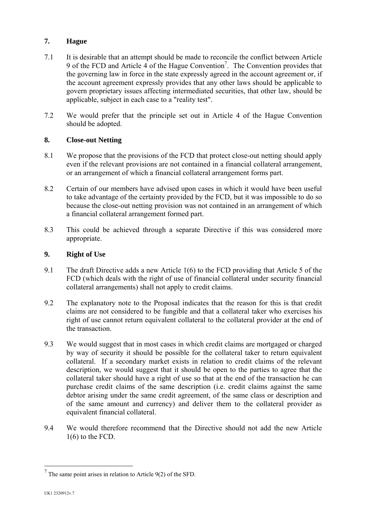# **7. Hague**

- 7.1 It is desirable that an attempt should be made to reconcile the conflict between Article 9 of the FCD and Article  $\overline{4}$  of the Hague Convention<sup>[7](#page-7-0)</sup>. The Convention provides that the governing law in force in the state expressly agreed in the account agreement or, if the account agreement expressly provides that any other laws should be applicable to govern proprietary issues affecting intermediated securities, that other law, should be applicable, subject in each case to a "reality test".
- 7.2 We would prefer that the principle set out in Article 4 of the Hague Convention should be adopted.

# **8. Close-out Netting**

- 8.1 We propose that the provisions of the FCD that protect close-out netting should apply even if the relevant provisions are not contained in a financial collateral arrangement, or an arrangement of which a financial collateral arrangement forms part.
- 8.2 Certain of our members have advised upon cases in which it would have been useful to take advantage of the certainty provided by the FCD, but it was impossible to do so because the close-out netting provision was not contained in an arrangement of which a financial collateral arrangement formed part.
- 8.3 This could be achieved through a separate Directive if this was considered more appropriate.

### **9. Right of Use**

- 9.1 The draft Directive adds a new Article 1(6) to the FCD providing that Article 5 of the FCD (which deals with the right of use of financial collateral under security financial collateral arrangements) shall not apply to credit claims.
- 9.2 The explanatory note to the Proposal indicates that the reason for this is that credit claims are not considered to be fungible and that a collateral taker who exercises his right of use cannot return equivalent collateral to the collateral provider at the end of the transaction.
- 9.3 We would suggest that in most cases in which credit claims are mortgaged or charged by way of security it should be possible for the collateral taker to return equivalent collateral. If a secondary market exists in relation to credit claims of the relevant description, we would suggest that it should be open to the parties to agree that the collateral taker should have a right of use so that at the end of the transaction he can purchase credit claims of the same description (i.e. credit claims against the same debtor arising under the same credit agreement, of the same class or description and of the same amount and currency) and deliver them to the collateral provider as equivalent financial collateral.
- 9.4 We would therefore recommend that the Directive should not add the new Article  $1(6)$  to the FCD.

<span id="page-7-0"></span> 7 The same point arises in relation to Article 9(2) of the SFD.